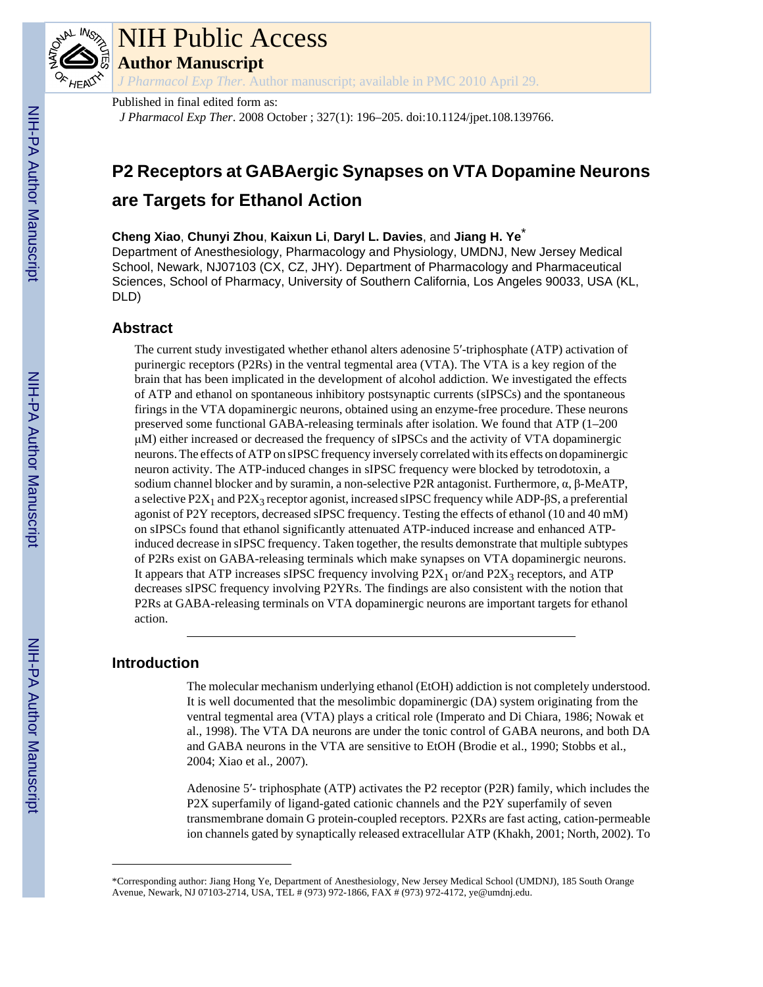

# NIH Public Access

**Author Manuscript**

*J Pharmacol Exp Ther*. Author manuscript; available in PMC 2010 April 29.

# Published in final edited form as:

*J Pharmacol Exp Ther*. 2008 October ; 327(1): 196–205. doi:10.1124/jpet.108.139766.

# **P2 Receptors at GABAergic Synapses on VTA Dopamine Neurons**

# **are Targets for Ethanol Action**

# **Cheng Xiao**, **Chunyi Zhou**, **Kaixun Li**, **Daryl L. Davies**, and **Jiang H. Ye**\*

Department of Anesthesiology, Pharmacology and Physiology, UMDNJ, New Jersey Medical School, Newark, NJ07103 (CX, CZ, JHY). Department of Pharmacology and Pharmaceutical Sciences, School of Pharmacy, University of Southern California, Los Angeles 90033, USA (KL, DLD)

# **Abstract**

The current study investigated whether ethanol alters adenosine 5′-triphosphate (ATP) activation of purinergic receptors (P2Rs) in the ventral tegmental area (VTA). The VTA is a key region of the brain that has been implicated in the development of alcohol addiction. We investigated the effects of ATP and ethanol on spontaneous inhibitory postsynaptic currents (sIPSCs) and the spontaneous firings in the VTA dopaminergic neurons, obtained using an enzyme-free procedure. These neurons preserved some functional GABA-releasing terminals after isolation. We found that ATP (1–200 μM) either increased or decreased the frequency of sIPSCs and the activity of VTA dopaminergic neurons. The effects of ATP on sIPSC frequency inversely correlated with its effects on dopaminergic neuron activity. The ATP-induced changes in sIPSC frequency were blocked by tetrodotoxin, a sodium channel blocker and by suramin, a non-selective P2R antagonist. Furthermore, α, β-MeATP, a selective  $P2X_1$  and  $P2X_3$  receptor agonist, increased sIPSC frequency while ADP- $\beta S$ , a preferential agonist of P2Y receptors, decreased sIPSC frequency. Testing the effects of ethanol (10 and 40 mM) on sIPSCs found that ethanol significantly attenuated ATP-induced increase and enhanced ATPinduced decrease in sIPSC frequency. Taken together, the results demonstrate that multiple subtypes of P2Rs exist on GABA-releasing terminals which make synapses on VTA dopaminergic neurons. It appears that ATP increases sIPSC frequency involving  $P2X_1$  or/and  $P2X_3$  receptors, and ATP decreases sIPSC frequency involving P2YRs. The findings are also consistent with the notion that P2Rs at GABA-releasing terminals on VTA dopaminergic neurons are important targets for ethanol action.

# **Introduction**

The molecular mechanism underlying ethanol (EtOH) addiction is not completely understood. It is well documented that the mesolimbic dopaminergic (DA) system originating from the ventral tegmental area (VTA) plays a critical role (Imperato and Di Chiara, 1986; Nowak et al., 1998). The VTA DA neurons are under the tonic control of GABA neurons, and both DA and GABA neurons in the VTA are sensitive to EtOH (Brodie et al., 1990; Stobbs et al., 2004; Xiao et al., 2007).

Adenosine 5′- triphosphate (ATP) activates the P2 receptor (P2R) family, which includes the P2X superfamily of ligand-gated cationic channels and the P2Y superfamily of seven transmembrane domain G protein-coupled receptors. P2XRs are fast acting, cation-permeable ion channels gated by synaptically released extracellular ATP (Khakh, 2001; North, 2002). To

<sup>\*</sup>Corresponding author: Jiang Hong Ye, Department of Anesthesiology, New Jersey Medical School (UMDNJ), 185 South Orange Avenue, Newark, NJ 07103-2714, USA, TEL # (973) 972-1866, FAX # (973) 972-4172, ye@umdnj.edu.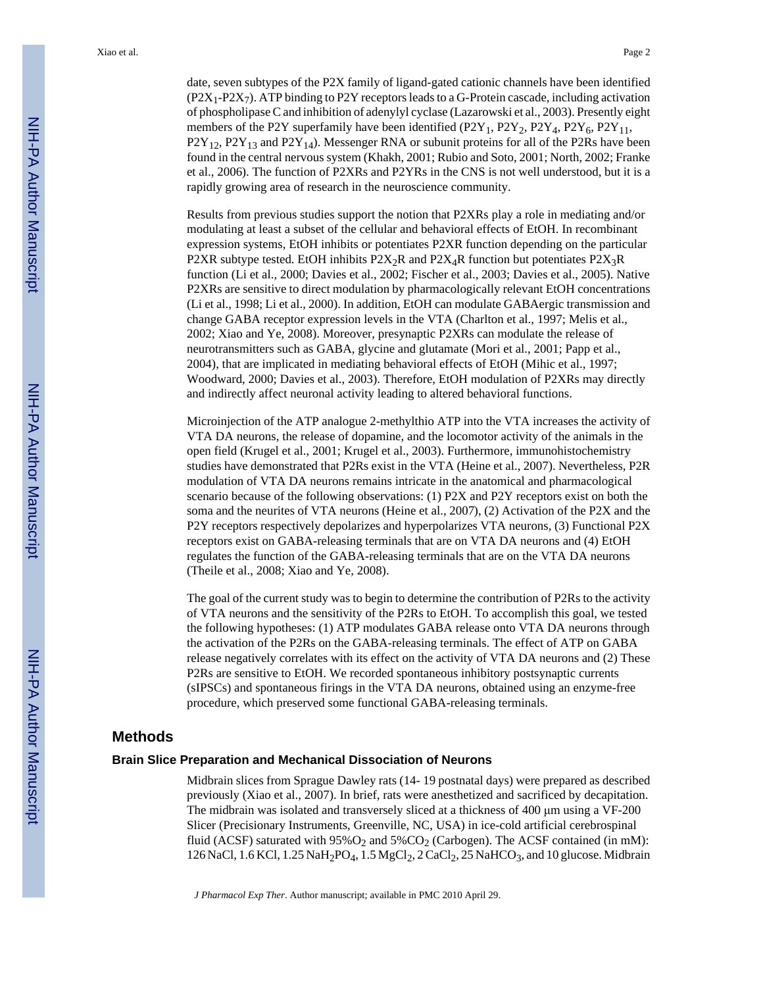date, seven subtypes of the P2X family of ligand-gated cationic channels have been identified  $(P2X_1-P2X_7)$ . ATP binding to P2Y receptors leads to a G-Protein cascade, including activation of phospholipase C and inhibition of adenylyl cyclase (Lazarowski et al., 2003). Presently eight members of the P2Y superfamily have been identified  $(P2Y_1, P2Y_2, P2Y_4, P2Y_6, P2Y_{11}$ ,  $P2Y_{12}$ ,  $P2Y_{13}$  and  $P2Y_{14}$ ). Messenger RNA or subunit proteins for all of the P2Rs have been found in the central nervous system (Khakh, 2001; Rubio and Soto, 2001; North, 2002; Franke et al., 2006). The function of P2XRs and P2YRs in the CNS is not well understood, but it is a rapidly growing area of research in the neuroscience community.

Results from previous studies support the notion that P2XRs play a role in mediating and/or modulating at least a subset of the cellular and behavioral effects of EtOH. In recombinant expression systems, EtOH inhibits or potentiates P2XR function depending on the particular P2XR subtype tested. EtOH inhibits  $P2X_2R$  and  $P2X_4R$  function but potentiates  $P2X_3R$ function (Li et al., 2000; Davies et al., 2002; Fischer et al., 2003; Davies et al., 2005). Native P2XRs are sensitive to direct modulation by pharmacologically relevant EtOH concentrations (Li et al., 1998; Li et al., 2000). In addition, EtOH can modulate GABAergic transmission and change GABA receptor expression levels in the VTA (Charlton et al., 1997; Melis et al., 2002; Xiao and Ye, 2008). Moreover, presynaptic P2XRs can modulate the release of neurotransmitters such as GABA, glycine and glutamate (Mori et al., 2001; Papp et al., 2004), that are implicated in mediating behavioral effects of EtOH (Mihic et al., 1997; Woodward, 2000; Davies et al., 2003). Therefore, EtOH modulation of P2XRs may directly and indirectly affect neuronal activity leading to altered behavioral functions.

Microinjection of the ATP analogue 2-methylthio ATP into the VTA increases the activity of VTA DA neurons, the release of dopamine, and the locomotor activity of the animals in the open field (Krugel et al., 2001; Krugel et al., 2003). Furthermore, immunohistochemistry studies have demonstrated that P2Rs exist in the VTA (Heine et al., 2007). Nevertheless, P2R modulation of VTA DA neurons remains intricate in the anatomical and pharmacological scenario because of the following observations: (1) P2X and P2Y receptors exist on both the soma and the neurites of VTA neurons (Heine et al., 2007), (2) Activation of the P2X and the P2Y receptors respectively depolarizes and hyperpolarizes VTA neurons, (3) Functional P2X receptors exist on GABA-releasing terminals that are on VTA DA neurons and (4) EtOH regulates the function of the GABA-releasing terminals that are on the VTA DA neurons (Theile et al., 2008; Xiao and Ye, 2008).

The goal of the current study was to begin to determine the contribution of P2Rs to the activity of VTA neurons and the sensitivity of the P2Rs to EtOH. To accomplish this goal, we tested the following hypotheses: (1) ATP modulates GABA release onto VTA DA neurons through the activation of the P2Rs on the GABA-releasing terminals. The effect of ATP on GABA release negatively correlates with its effect on the activity of VTA DA neurons and (2) These P2Rs are sensitive to EtOH. We recorded spontaneous inhibitory postsynaptic currents (sIPSCs) and spontaneous firings in the VTA DA neurons, obtained using an enzyme-free procedure, which preserved some functional GABA-releasing terminals.

#### **Methods**

#### **Brain Slice Preparation and Mechanical Dissociation of Neurons**

Midbrain slices from Sprague Dawley rats (14- 19 postnatal days) were prepared as described previously (Xiao et al., 2007). In brief, rats were anesthetized and sacrificed by decapitation. The midbrain was isolated and transversely sliced at a thickness of 400 μm using a VF-200 Slicer (Precisionary Instruments, Greenville, NC, USA) in ice-cold artificial cerebrospinal fluid (ACSF) saturated with  $95\%O_2$  and  $5\%CO_2$  (Carbogen). The ACSF contained (in mM): 126 NaCl, 1.6 KCl, 1.25 NaH<sub>2</sub>PO<sub>4</sub>, 1.5 MgCl<sub>2</sub>, 2 CaCl<sub>2</sub>, 25 NaHCO<sub>3</sub>, and 10 glucose. Midbrain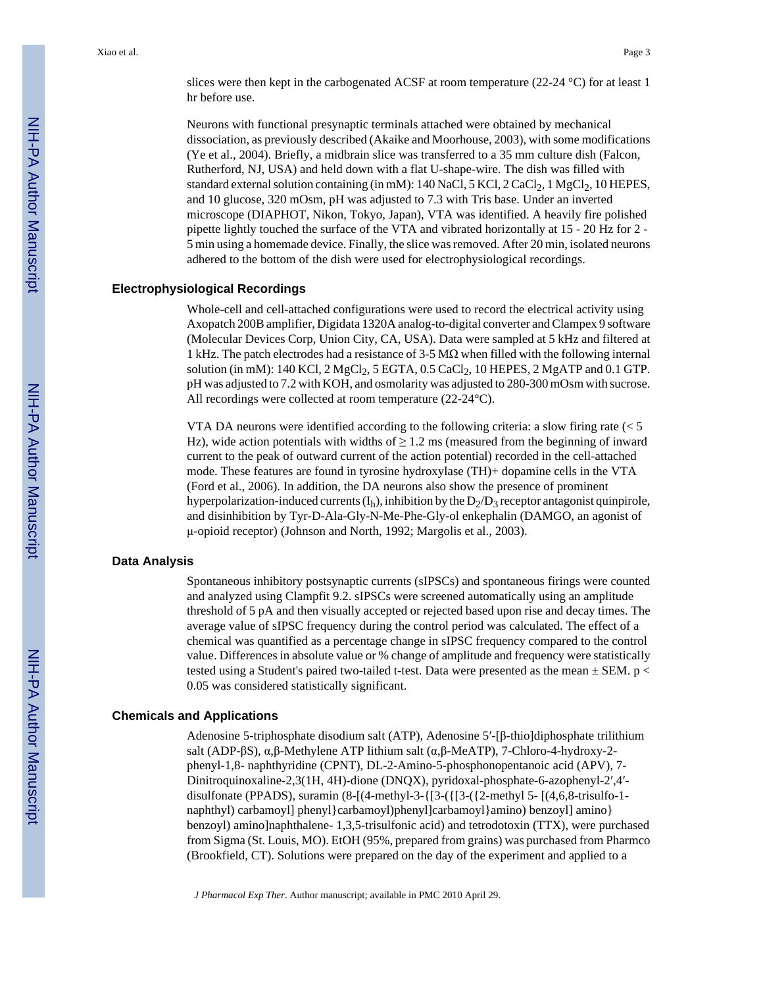slices were then kept in the carbogenated ACSF at room temperature (22-24  $\degree$ C) for at least 1 hr before use.

Neurons with functional presynaptic terminals attached were obtained by mechanical dissociation, as previously described (Akaike and Moorhouse, 2003), with some modifications (Ye et al., 2004). Briefly, a midbrain slice was transferred to a 35 mm culture dish (Falcon, Rutherford, NJ, USA) and held down with a flat U-shape-wire. The dish was filled with standard external solution containing (in mM): 140 NaCl, 5 KCl, 2 CaCl<sub>2</sub>, 1 MgCl<sub>2</sub>, 10 HEPES, and 10 glucose, 320 mOsm, pH was adjusted to 7.3 with Tris base. Under an inverted microscope (DIAPHOT, Nikon, Tokyo, Japan), VTA was identified. A heavily fire polished pipette lightly touched the surface of the VTA and vibrated horizontally at 15 - 20 Hz for 2 - 5 min using a homemade device. Finally, the slice was removed. After 20 min, isolated neurons adhered to the bottom of the dish were used for electrophysiological recordings.

#### **Electrophysiological Recordings**

Whole-cell and cell-attached configurations were used to record the electrical activity using Axopatch 200B amplifier, Digidata 1320A analog-to-digital converter and Clampex 9 software (Molecular Devices Corp, Union City, CA, USA). Data were sampled at 5 kHz and filtered at 1 kHz. The patch electrodes had a resistance of 3-5 M $\Omega$  when filled with the following internal solution (in mM): 140 KCl, 2 MgCl<sub>2</sub>, 5 EGTA, 0.5 CaCl<sub>2</sub>, 10 HEPES, 2 MgATP and 0.1 GTP. pH was adjusted to 7.2 with KOH, and osmolarity was adjusted to 280-300 mOsm with sucrose. All recordings were collected at room temperature (22-24°C).

VTA DA neurons were identified according to the following criteria: a slow firing rate  $\leq 5$ Hz), wide action potentials with widths of  $\geq 1.2$  ms (measured from the beginning of inward current to the peak of outward current of the action potential) recorded in the cell-attached mode. These features are found in tyrosine hydroxylase (TH)+ dopamine cells in the VTA (Ford et al., 2006). In addition, the DA neurons also show the presence of prominent hyperpolarization-induced currents  $(I_h)$ , inhibition by the  $D_2/D_3$  receptor antagonist quinpirole, and disinhibition by Tyr-D-Ala-Gly-N-Me-Phe-Gly-ol enkephalin (DAMGO, an agonist of μ-opioid receptor) (Johnson and North, 1992; Margolis et al., 2003).

#### **Data Analysis**

Spontaneous inhibitory postsynaptic currents (sIPSCs) and spontaneous firings were counted and analyzed using Clampfit 9.2. sIPSCs were screened automatically using an amplitude threshold of 5 pA and then visually accepted or rejected based upon rise and decay times. The average value of sIPSC frequency during the control period was calculated. The effect of a chemical was quantified as a percentage change in sIPSC frequency compared to the control value. Differences in absolute value or % change of amplitude and frequency were statistically tested using a Student's paired two-tailed t-test. Data were presented as the mean  $\pm$  SEM. p < 0.05 was considered statistically significant.

#### **Chemicals and Applications**

Adenosine 5-triphosphate disodium salt (ATP), Adenosine 5′-[β-thio]diphosphate trilithium salt (ADP-βS), α,β-Methylene ATP lithium salt (α,β-MeATP), 7-Chloro-4-hydroxy-2 phenyl-1,8- naphthyridine (CPNT), DL-2-Amino-5-phosphonopentanoic acid (APV), 7- Dinitroquinoxaline-2,3(1H, 4H)-dione (DNQX), pyridoxal-phosphate-6-azophenyl-2′,4′ disulfonate (PPADS), suramin (8-[(4-methyl-3-{[3-({[3-({2-methyl 5- [(4,6,8-trisulfo-1 naphthyl) carbamoyl] phenyl}carbamoyl)phenyl]carbamoyl}amino) benzoyl] amino} benzoyl) amino]naphthalene- 1,3,5-trisulfonic acid) and tetrodotoxin (TTX), were purchased from Sigma (St. Louis, MO). EtOH (95%, prepared from grains) was purchased from Pharmco (Brookfield, CT). Solutions were prepared on the day of the experiment and applied to a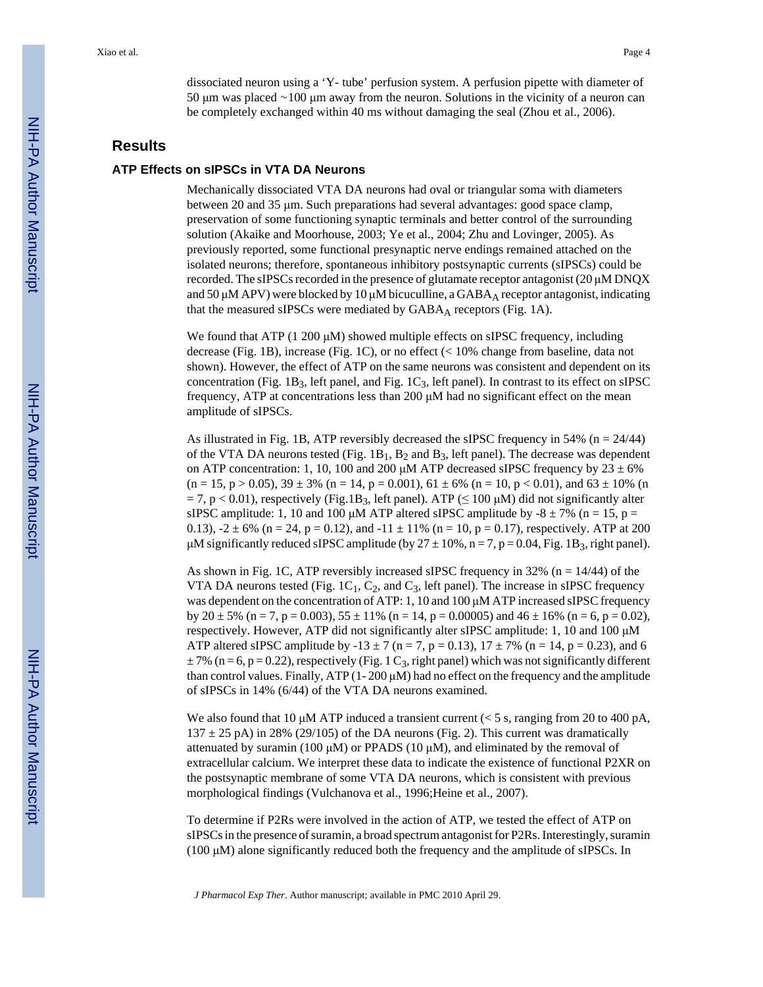dissociated neuron using a 'Y- tube' perfusion system. A perfusion pipette with diameter of 50 μm was placed ∼100 μm away from the neuron. Solutions in the vicinity of a neuron can be completely exchanged within 40 ms without damaging the seal (Zhou et al., 2006).

#### **Results**

# **ATP Effects on sIPSCs in VTA DA Neurons**

Mechanically dissociated VTA DA neurons had oval or triangular soma with diameters between 20 and 35 μm. Such preparations had several advantages: good space clamp, preservation of some functioning synaptic terminals and better control of the surrounding solution (Akaike and Moorhouse, 2003; Ye et al., 2004; Zhu and Lovinger, 2005). As previously reported, some functional presynaptic nerve endings remained attached on the isolated neurons; therefore, spontaneous inhibitory postsynaptic currents (sIPSCs) could be recorded. The sIPSCs recorded in the presence of glutamate receptor antagonist (20 μM DNQX and 50 μM APV) were blocked by 10 μM bicuculline, a  $GABA_A$  receptor antagonist, indicating that the measured sIPSCs were mediated by  $GABA_A$  receptors (Fig. 1A).

We found that ATP (1 200  $\mu$ M) showed multiple effects on sIPSC frequency, including decrease (Fig. 1B), increase (Fig. 1C), or no effect (< 10% change from baseline, data not shown). However, the effect of ATP on the same neurons was consistent and dependent on its concentration (Fig.  $1B_3$ , left panel, and Fig.  $1C_3$ , left panel). In contrast to its effect on sIPSC frequency, ATP at concentrations less than 200 μM had no significant effect on the mean amplitude of sIPSCs.

As illustrated in Fig. 1B, ATP reversibly decreased the sIPSC frequency in 54% ( $n = 24/44$ ) of the VTA DA neurons tested (Fig.  $1B_1$ ,  $B_2$  and  $B_3$ , left panel). The decrease was dependent on ATP concentration: 1, 10, 100 and 200  $\mu$ M ATP decreased sIPSC frequency by 23  $\pm$  6%  $(n = 15, p > 0.05)$ ,  $39 \pm 3\%$   $(n = 14, p = 0.001)$ ,  $61 \pm 6\%$   $(n = 10, p < 0.01)$ , and  $63 \pm 10\%$   $(n = 16, p < 0.01)$  $= 7$ , p < 0.01), respectively (Fig.1B<sub>3</sub>, left panel). ATP ( $\leq 100 \mu$ M) did not significantly alter sIPSC amplitude: 1, 10 and 100  $\mu$ M ATP altered sIPSC amplitude by -8  $\pm$  7% (n = 15, p = 0.13),  $-2 \pm 6\%$  (n = 24, p = 0.12), and  $-11 \pm 11\%$  (n = 10, p = 0.17), respectively. ATP at 200 μM significantly reduced sIPSC amplitude (by  $27 \pm 10\%$ , n = 7, p = 0.04, Fig. 1B<sub>3</sub>, right panel).

As shown in Fig. 1C, ATP reversibly increased sIPSC frequency in 32% ( $n = 14/44$ ) of the VTA DA neurons tested (Fig.  $1C_1$ ,  $C_2$ , and  $C_3$ , left panel). The increase in sIPSC frequency was dependent on the concentration of ATP: 1, 10 and 100 μM ATP increased sIPSC frequency by  $20 \pm 5\%$  (n = 7, p = 0.003),  $55 \pm 11\%$  (n = 14, p = 0.00005) and  $46 \pm 16\%$  (n = 6, p = 0.02), respectively. However, ATP did not significantly alter sIPSC amplitude: 1, 10 and 100 μM ATP altered sIPSC amplitude by  $-13 \pm 7$  (n = 7, p = 0.13),  $17 \pm 7\%$  (n = 14, p = 0.23), and 6  $\pm$  7% (n = 6, p = 0.22), respectively (Fig. 1 C<sub>3</sub>, right panel) which was not significantly different than control values. Finally, ATP (1- 200 μM) had no effect on the frequency and the amplitude of sIPSCs in 14% (6/44) of the VTA DA neurons examined.

We also found that 10  $\mu$ M ATP induced a transient current (< 5 s, ranging from 20 to 400 pA,  $137 \pm 25$  pA) in 28% (29/105) of the DA neurons (Fig. 2). This current was dramatically attenuated by suramin (100 μM) or PPADS (10 μM), and eliminated by the removal of extracellular calcium. We interpret these data to indicate the existence of functional P2XR on the postsynaptic membrane of some VTA DA neurons, which is consistent with previous morphological findings (Vulchanova et al., 1996;Heine et al., 2007).

To determine if P2Rs were involved in the action of ATP, we tested the effect of ATP on sIPSCs in the presence of suramin, a broad spectrum antagonist for P2Rs. Interestingly, suramin (100 μM) alone significantly reduced both the frequency and the amplitude of sIPSCs. In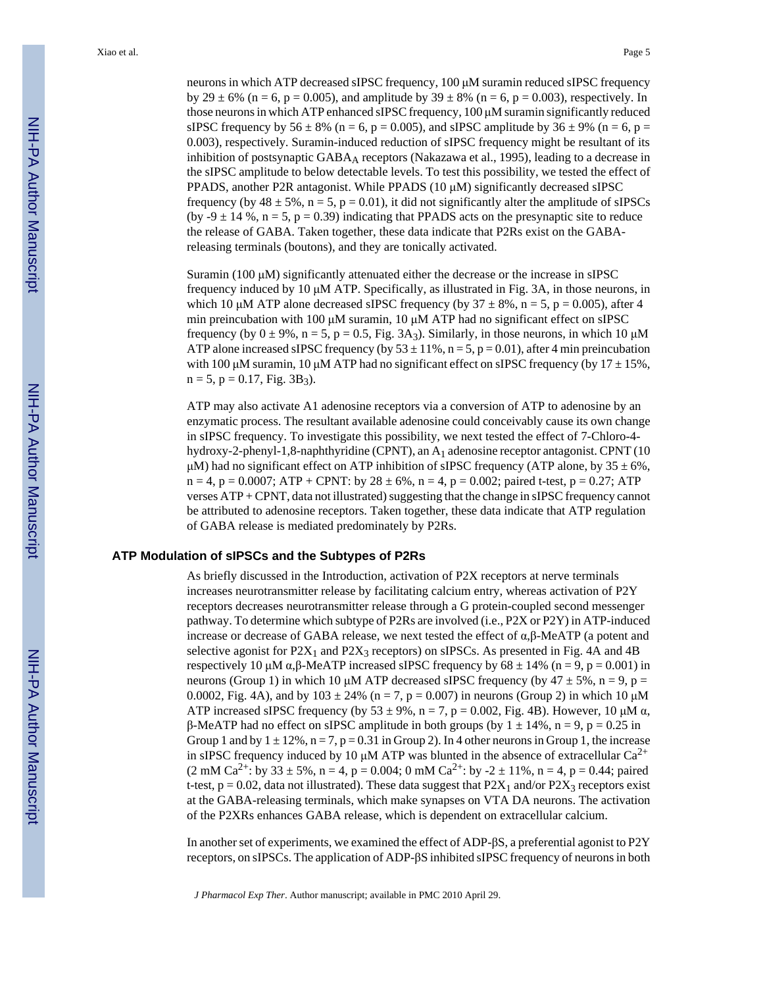neurons in which ATP decreased sIPSC frequency, 100 μM suramin reduced sIPSC frequency by 29  $\pm$  6% (n = 6, p = 0.005), and amplitude by 39  $\pm$  8% (n = 6, p = 0.003), respectively. In those neurons in which ATP enhanced sIPSC frequency, 100 μM suramin significantly reduced sIPSC frequency by  $56 \pm 8\%$  (n = 6, p = 0.005), and sIPSC amplitude by  $36 \pm 9\%$  (n = 6, p = 0.003), respectively. Suramin-induced reduction of sIPSC frequency might be resultant of its inhibition of postsynaptic GABA<sub>A</sub> receptors (Nakazawa et al., 1995), leading to a decrease in the sIPSC amplitude to below detectable levels. To test this possibility, we tested the effect of PPADS, another P2R antagonist. While PPADS (10 μM) significantly decreased sIPSC frequency (by  $48 \pm 5\%$ , n = 5, p = 0.01), it did not significantly alter the amplitude of sIPSCs (by -9  $\pm$  14 %, n = 5, p = 0.39) indicating that PPADS acts on the presynaptic site to reduce the release of GABA. Taken together, these data indicate that P2Rs exist on the GABAreleasing terminals (boutons), and they are tonically activated.

Suramin (100 μM) significantly attenuated either the decrease or the increase in sIPSC frequency induced by 10 μM ATP. Specifically, as illustrated in Fig. 3A, in those neurons, in which 10 μM ATP alone decreased sIPSC frequency (by  $37 \pm 8\%$ , n = 5, p = 0.005), after 4 min preincubation with 100 μM suramin, 10 μM ATP had no significant effect on sIPSC frequency (by  $0 \pm 9\%$ , n = 5, p = 0.5, Fig. 3A<sub>3</sub>). Similarly, in those neurons, in which 10  $\mu$ M ATP alone increased sIPSC frequency (by  $53 \pm 11\%$ , n = 5, p = 0.01), after 4 min preincubation with 100 μM suramin, 10 μM ATP had no significant effect on sIPSC frequency (by  $17 \pm 15\%$ ,  $n = 5$ ,  $p = 0.17$ , Fig. 3B<sub>3</sub>).

ATP may also activate A1 adenosine receptors via a conversion of ATP to adenosine by an enzymatic process. The resultant available adenosine could conceivably cause its own change in sIPSC frequency. To investigate this possibility, we next tested the effect of 7-Chloro-4 hydroxy-2-phenyl-1,8-naphthyridine (CPNT), an A<sub>1</sub> adenosine receptor antagonist. CPNT (10 μM) had no significant effect on ATP inhibition of sIPSC frequency (ATP alone, by  $35 \pm 6\%$ ,  $n = 4$ ,  $p = 0.0007$ ; ATP + CPNT: by  $28 \pm 6\%$ ,  $n = 4$ ,  $p = 0.002$ ; paired t-test,  $p = 0.27$ ; ATP verses ATP + CPNT, data not illustrated) suggesting that the change in sIPSC frequency cannot be attributed to adenosine receptors. Taken together, these data indicate that ATP regulation of GABA release is mediated predominately by P2Rs.

#### **ATP Modulation of sIPSCs and the Subtypes of P2Rs**

As briefly discussed in the Introduction, activation of P2X receptors at nerve terminals increases neurotransmitter release by facilitating calcium entry, whereas activation of P2Y receptors decreases neurotransmitter release through a G protein-coupled second messenger pathway. To determine which subtype of P2Rs are involved (i.e., P2X or P2Y) in ATP-induced increase or decrease of GABA release, we next tested the effect of α,β-MeATP (a potent and selective agonist for  $P2X_1$  and  $P2X_3$  receptors) on sIPSCs. As presented in Fig. 4A and 4B respectively 10 μM α,β-MeATP increased sIPSC frequency by  $68 \pm 14\%$  (n = 9, p = 0.001) in neurons (Group 1) in which 10 μM ATP decreased sIPSC frequency (by 47  $\pm$  5%, n = 9, p = 0.0002, Fig. 4A), and by  $103 \pm 24\%$  (n = 7, p = 0.007) in neurons (Group 2) in which 10  $\mu$ M ATP increased sIPSC frequency (by  $53 \pm 9\%$ , n = 7, p = 0.002, Fig. 4B). However, 10  $\mu$ M  $\alpha$ , β-MeATP had no effect on sIPSC amplitude in both groups (by  $1 \pm 14\%$ , n = 9, p = 0.25 in Group 1 and by  $1 \pm 12\%$ ,  $n = 7$ ,  $p = 0.31$  in Group 2). In 4 other neurons in Group 1, the increase in sIPSC frequency induced by 10  $\mu$ M ATP was blunted in the absence of extracellular Ca<sup>2+</sup>  $(2 \text{ mM } Ca^{2+}:$  by  $33 \pm 5\%$ , n = 4, p = 0.004; 0 mM Ca<sup>2+</sup>: by -2  $\pm$  11%, n = 4, p = 0.44; paired t-test,  $p = 0.02$ , data not illustrated). These data suggest that  $P2X_1$  and/or  $P2X_3$  receptors exist at the GABA-releasing terminals, which make synapses on VTA DA neurons. The activation of the P2XRs enhances GABA release, which is dependent on extracellular calcium.

In another set of experiments, we examined the effect of ADP-βS, a preferential agonist to P2Y receptors, on sIPSCs. The application of ADP-βS inhibited sIPSC frequency of neurons in both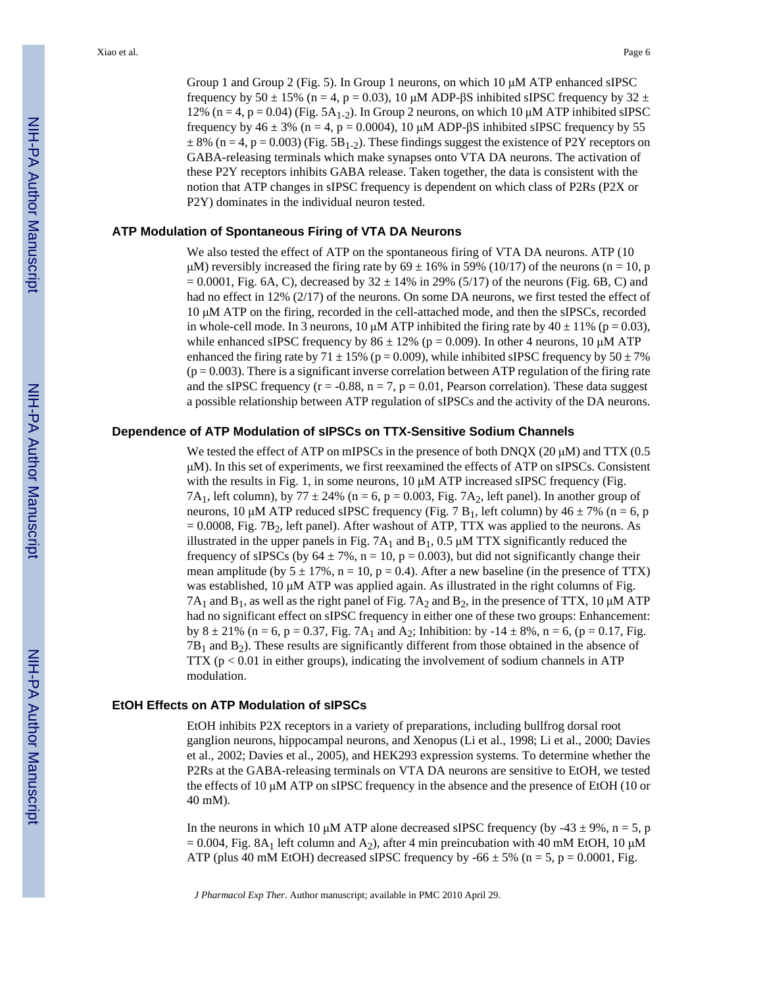Group 1 and Group 2 (Fig. 5). In Group 1 neurons, on which 10 μM ATP enhanced sIPSC frequency by 50  $\pm$  15% (n = 4, p = 0.03), 10 μM ADP- $\beta$ S inhibited sIPSC frequency by 32  $\pm$ 12% (n = 4, p = 0.04) (Fig.  $5A_{1-2}$ ). In Group 2 neurons, on which 10  $\mu$ M ATP inhibited sIPSC frequency by  $46 \pm 3\%$  (n = 4, p = 0.0004), 10  $\mu$ M ADP- $\beta$ S inhibited sIPSC frequency by 55  $\pm 8\%$  (n = 4, p = 0.003) (Fig. 5B<sub>1-2</sub>). These findings suggest the existence of P2Y receptors on GABA-releasing terminals which make synapses onto VTA DA neurons. The activation of these P2Y receptors inhibits GABA release. Taken together, the data is consistent with the notion that ATP changes in sIPSC frequency is dependent on which class of P2Rs (P2X or P2Y) dominates in the individual neuron tested.

#### **ATP Modulation of Spontaneous Firing of VTA DA Neurons**

We also tested the effect of ATP on the spontaneous firing of VTA DA neurons. ATP (10 μM) reversibly increased the firing rate by  $69 \pm 16\%$  in 59% (10/17) of the neurons (n = 10, p  $= 0.0001$ , Fig. 6A, C), decreased by  $32 \pm 14\%$  in 29% (5/17) of the neurons (Fig. 6B, C) and had no effect in 12% (2/17) of the neurons. On some DA neurons, we first tested the effect of 10 μM ATP on the firing, recorded in the cell-attached mode, and then the sIPSCs, recorded in whole-cell mode. In 3 neurons, 10  $\mu$ M ATP inhibited the firing rate by 40  $\pm$  11% (p = 0.03), while enhanced sIPSC frequency by  $86 \pm 12\%$  (p = 0.009). In other 4 neurons, 10  $\mu$ M ATP enhanced the firing rate by 71  $\pm$  15% (p = 0.009), while inhibited sIPSC frequency by 50  $\pm$  7%  $(p = 0.003)$ . There is a significant inverse correlation between ATP regulation of the firing rate and the sIPSC frequency ( $r = -0.88$ ,  $n = 7$ ,  $p = 0.01$ , Pearson correlation). These data suggest a possible relationship between ATP regulation of sIPSCs and the activity of the DA neurons.

#### **Dependence of ATP Modulation of sIPSCs on TTX-Sensitive Sodium Channels**

We tested the effect of ATP on mIPSCs in the presence of both DNQX (20  $\mu$ M) and TTX (0.5 μM). In this set of experiments, we first reexamined the effects of ATP on sIPSCs. Consistent with the results in Fig. 1, in some neurons,  $10 \mu M$  ATP increased sIPSC frequency (Fig. 7A<sub>1</sub>, left column), by 77  $\pm$  24% (n = 6, p = 0.003, Fig. 7A<sub>2</sub>, left panel). In another group of neurons, 10 μM ATP reduced sIPSC frequency (Fig. 7 B<sub>1</sub>, left column) by  $46 \pm 7\%$  (n = 6, p  $= 0.0008$ , Fig. 7B<sub>2</sub>, left panel). After washout of ATP, TTX was applied to the neurons. As illustrated in the upper panels in Fig.  $7A_1$  and  $B_1$ , 0.5  $\mu$ M TTX significantly reduced the frequency of sIPSCs (by  $64 \pm 7\%$ , n = 10, p = 0.003), but did not significantly change their mean amplitude (by  $5 \pm 17\%$ , n = 10, p = 0.4). After a new baseline (in the presence of TTX) was established, 10 μM ATP was applied again. As illustrated in the right columns of Fig.  $7A_1$  and  $B_1$ , as well as the right panel of Fig.  $7A_2$  and  $B_2$ , in the presence of TTX, 10  $\mu$ M ATP had no significant effect on sIPSC frequency in either one of these two groups: Enhancement: by  $8 \pm 21\%$  (n = 6, p = 0.37, Fig. 7A<sub>1</sub> and A<sub>2</sub>; Inhibition: by -14  $\pm$  8%, n = 6, (p = 0.17, Fig.  $7B_1$  and  $B_2$ ). These results are significantly different from those obtained in the absence of  $TTX$  ( $p < 0.01$  in either groups), indicating the involvement of sodium channels in ATP modulation.

#### **EtOH Effects on ATP Modulation of sIPSCs**

EtOH inhibits P2X receptors in a variety of preparations, including bullfrog dorsal root ganglion neurons, hippocampal neurons, and Xenopus (Li et al., 1998; Li et al., 2000; Davies et al., 2002; Davies et al., 2005), and HEK293 expression systems. To determine whether the P2Rs at the GABA-releasing terminals on VTA DA neurons are sensitive to EtOH, we tested the effects of 10 μM ATP on sIPSC frequency in the absence and the presence of EtOH (10 or 40 mM).

In the neurons in which 10  $\mu$ M ATP alone decreased sIPSC frequency (by -43  $\pm$  9%, n = 5, p = 0.004, Fig. 8A<sub>1</sub> left column and A<sub>2</sub>), after 4 min preincubation with 40 mM EtOH, 10  $\mu$ M ATP (plus 40 mM EtOH) decreased sIPSC frequency by  $-66 \pm 5\%$  (n = 5, p = 0.0001, Fig.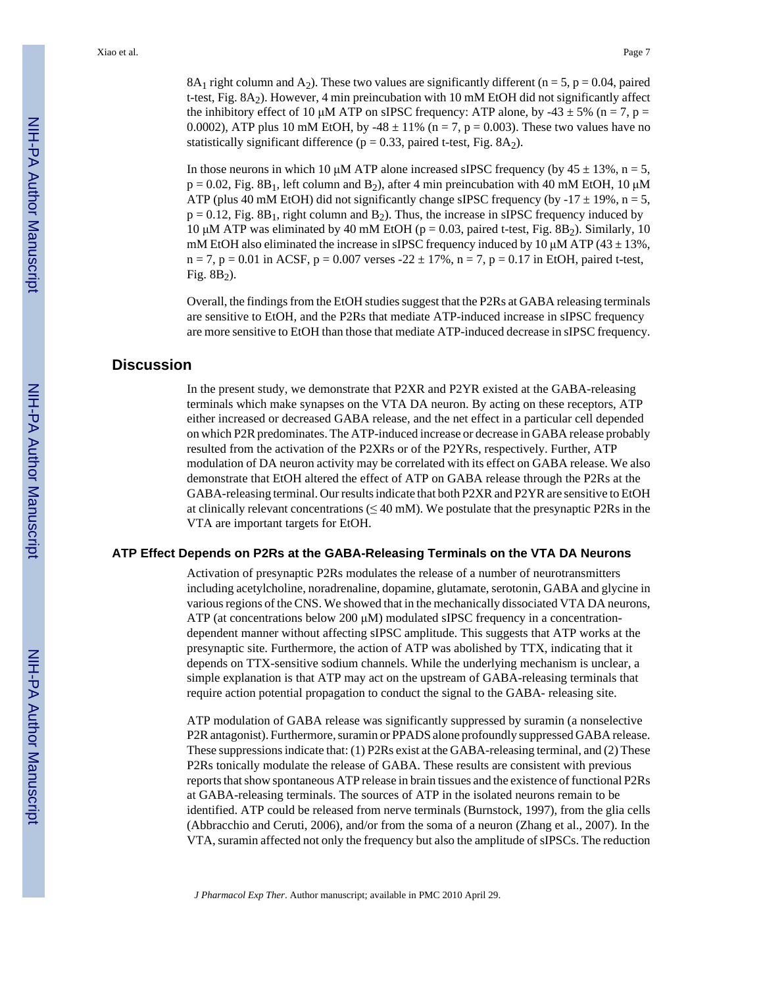8A<sub>1</sub> right column and A<sub>2</sub>). These two values are significantly different (n = 5, p = 0.04, paired t-test, Fig. 8A2). However, 4 min preincubation with 10 mM EtOH did not significantly affect the inhibitory effect of 10 μM ATP on sIPSC frequency: ATP alone, by -43  $\pm$  5% (n = 7, p = 0.0002), ATP plus 10 mM EtOH, by -48  $\pm$  11% (n = 7, p = 0.003). These two values have no statistically significant difference ( $p = 0.33$ , paired t-test, Fig. 8A<sub>2</sub>).

In those neurons in which 10 μM ATP alone increased sIPSC frequency (by  $45 \pm 13\%$ , n = 5,  $p = 0.02$ , Fig. 8B<sub>1</sub>, left column and B<sub>2</sub>), after 4 min preincubation with 40 mM EtOH, 10  $\mu$ M ATP (plus 40 mM EtOH) did not significantly change sIPSC frequency (by  $-17 \pm 19\%$ , n = 5,  $p = 0.12$ , Fig. 8B<sub>1</sub>, right column and B<sub>2</sub>). Thus, the increase in sIPSC frequency induced by 10 μM ATP was eliminated by 40 mM EtOH ( $p = 0.03$ , paired t-test, Fig. 8B<sub>2</sub>). Similarly, 10 mM EtOH also eliminated the increase in sIPSC frequency induced by 10  $\mu$ M ATP (43  $\pm$  13%,  $n = 7$ ,  $p = 0.01$  in ACSF,  $p = 0.007$  verses  $-22 \pm 17$ %,  $n = 7$ ,  $p = 0.17$  in EtOH, paired t-test, Fig.  $8B_2$ ).

Overall, the findings from the EtOH studies suggest that the P2Rs at GABA releasing terminals are sensitive to EtOH, and the P2Rs that mediate ATP-induced increase in sIPSC frequency are more sensitive to EtOH than those that mediate ATP-induced decrease in sIPSC frequency.

# **Discussion**

In the present study, we demonstrate that P2XR and P2YR existed at the GABA-releasing terminals which make synapses on the VTA DA neuron. By acting on these receptors, ATP either increased or decreased GABA release, and the net effect in a particular cell depended on which P2R predominates. The ATP-induced increase or decrease in GABA release probably resulted from the activation of the P2XRs or of the P2YRs, respectively. Further, ATP modulation of DA neuron activity may be correlated with its effect on GABA release. We also demonstrate that EtOH altered the effect of ATP on GABA release through the P2Rs at the GABA-releasing terminal. Our results indicate that both P2XR and P2YR are sensitive to EtOH at clinically relevant concentrations ( $\leq$ 40 mM). We postulate that the presynaptic P2Rs in the VTA are important targets for EtOH.

#### **ATP Effect Depends on P2Rs at the GABA-Releasing Terminals on the VTA DA Neurons**

Activation of presynaptic P2Rs modulates the release of a number of neurotransmitters including acetylcholine, noradrenaline, dopamine, glutamate, serotonin, GABA and glycine in various regions of the CNS. We showed that in the mechanically dissociated VTA DA neurons, ATP (at concentrations below 200  $\mu$ M) modulated sIPSC frequency in a concentrationdependent manner without affecting sIPSC amplitude. This suggests that ATP works at the presynaptic site. Furthermore, the action of ATP was abolished by TTX, indicating that it depends on TTX-sensitive sodium channels. While the underlying mechanism is unclear, a simple explanation is that ATP may act on the upstream of GABA-releasing terminals that require action potential propagation to conduct the signal to the GABA- releasing site.

ATP modulation of GABA release was significantly suppressed by suramin (a nonselective P2R antagonist). Furthermore, suramin or PPADS alone profoundly suppressed GABA release. These suppressions indicate that: (1) P2Rs exist at the GABA-releasing terminal, and (2) These P2Rs tonically modulate the release of GABA. These results are consistent with previous reports that show spontaneous ATP release in brain tissues and the existence of functional P2Rs at GABA-releasing terminals. The sources of ATP in the isolated neurons remain to be identified. ATP could be released from nerve terminals (Burnstock, 1997), from the glia cells (Abbracchio and Ceruti, 2006), and/or from the soma of a neuron (Zhang et al., 2007). In the VTA, suramin affected not only the frequency but also the amplitude of sIPSCs. The reduction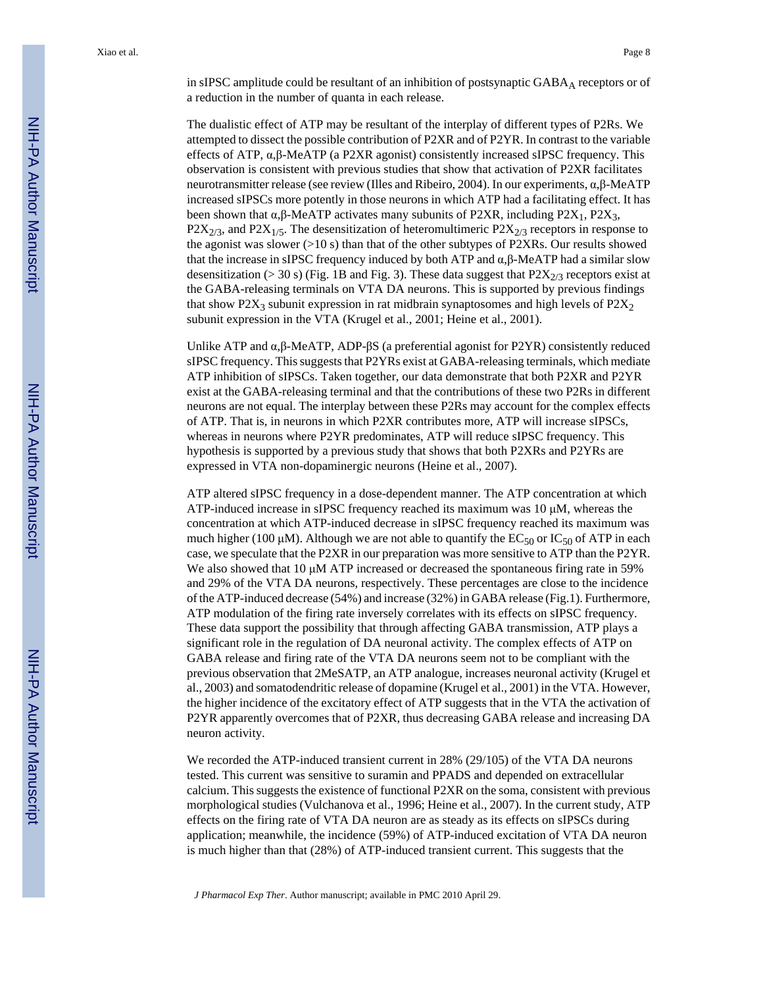in sIPSC amplitude could be resultant of an inhibition of postsynaptic GABAA receptors or of a reduction in the number of quanta in each release.

The dualistic effect of ATP may be resultant of the interplay of different types of P2Rs. We attempted to dissect the possible contribution of P2XR and of P2YR. In contrast to the variable effects of ATP, α,β-MeATP (a P2XR agonist) consistently increased sIPSC frequency. This observation is consistent with previous studies that show that activation of P2XR facilitates neurotransmitter release (see review (Illes and Ribeiro, 2004). In our experiments, α,β-MeATP increased sIPSCs more potently in those neurons in which ATP had a facilitating effect. It has been shown that  $\alpha, \beta$ -MeATP activates many subunits of P2XR, including P2X<sub>1</sub>, P2X<sub>3</sub>,  $P2X_{2/3}$ , and  $P2X_{1/5}$ . The desensitization of heteromultimeric  $P2X_{2/3}$  receptors in response to the agonist was slower  $(>10 s)$  than that of the other subtypes of P2XRs. Our results showed that the increase in sIPSC frequency induced by both ATP and  $\alpha$ ,β-MeATP had a similar slow desensitization ( $>$  30 s) (Fig. 1B and Fig. 3). These data suggest that P2X<sub>2/3</sub> receptors exist at the GABA-releasing terminals on VTA DA neurons. This is supported by previous findings that show P2X<sub>3</sub> subunit expression in rat midbrain synaptosomes and high levels of P2X<sub>2</sub> subunit expression in the VTA (Krugel et al., 2001; Heine et al., 2001).

Unlike ATP and  $\alpha$ ,  $\beta$ -MeATP, ADP- $\beta$ S (a preferential agonist for P2YR) consistently reduced sIPSC frequency. This suggests that P2YRs exist at GABA-releasing terminals, which mediate ATP inhibition of sIPSCs. Taken together, our data demonstrate that both P2XR and P2YR exist at the GABA-releasing terminal and that the contributions of these two P2Rs in different neurons are not equal. The interplay between these P2Rs may account for the complex effects of ATP. That is, in neurons in which P2XR contributes more, ATP will increase sIPSCs, whereas in neurons where P2YR predominates, ATP will reduce sIPSC frequency. This hypothesis is supported by a previous study that shows that both P2XRs and P2YRs are expressed in VTA non-dopaminergic neurons (Heine et al., 2007).

ATP altered sIPSC frequency in a dose-dependent manner. The ATP concentration at which ATP-induced increase in sIPSC frequency reached its maximum was 10 μM, whereas the concentration at which ATP-induced decrease in sIPSC frequency reached its maximum was much higher (100 μM). Although we are not able to quantify the  $EC_{50}$  or  $IC_{50}$  of ATP in each case, we speculate that the P2XR in our preparation was more sensitive to ATP than the P2YR. We also showed that 10  $\mu$ M ATP increased or decreased the spontaneous firing rate in 59% and 29% of the VTA DA neurons, respectively. These percentages are close to the incidence of the ATP-induced decrease (54%) and increase (32%) in GABA release (Fig.1). Furthermore, ATP modulation of the firing rate inversely correlates with its effects on sIPSC frequency. These data support the possibility that through affecting GABA transmission, ATP plays a significant role in the regulation of DA neuronal activity. The complex effects of ATP on GABA release and firing rate of the VTA DA neurons seem not to be compliant with the previous observation that 2MeSATP, an ATP analogue, increases neuronal activity (Krugel et al., 2003) and somatodendritic release of dopamine (Krugel et al., 2001) in the VTA. However, the higher incidence of the excitatory effect of ATP suggests that in the VTA the activation of P2YR apparently overcomes that of P2XR, thus decreasing GABA release and increasing DA neuron activity.

We recorded the ATP-induced transient current in 28% (29/105) of the VTA DA neurons tested. This current was sensitive to suramin and PPADS and depended on extracellular calcium. This suggests the existence of functional P2XR on the soma, consistent with previous morphological studies (Vulchanova et al., 1996; Heine et al., 2007). In the current study, ATP effects on the firing rate of VTA DA neuron are as steady as its effects on sIPSCs during application; meanwhile, the incidence (59%) of ATP-induced excitation of VTA DA neuron is much higher than that (28%) of ATP-induced transient current. This suggests that the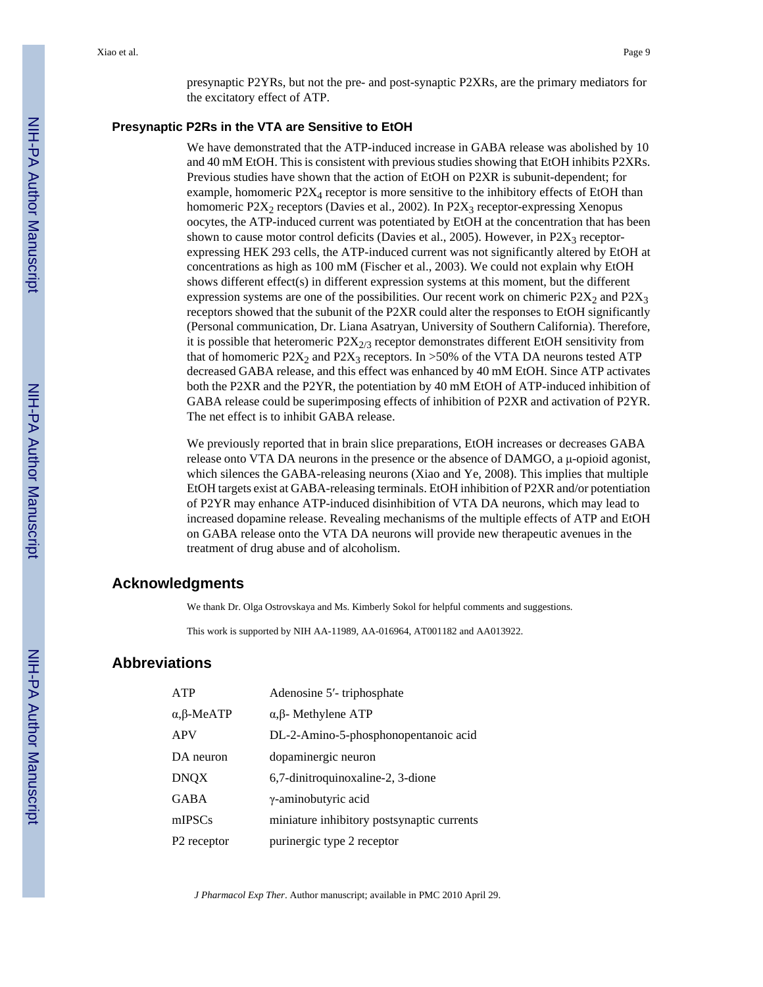presynaptic P2YRs, but not the pre- and post-synaptic P2XRs, are the primary mediators for the excitatory effect of ATP.

#### **Presynaptic P2Rs in the VTA are Sensitive to EtOH**

We have demonstrated that the ATP-induced increase in GABA release was abolished by 10 and 40 mM EtOH. This is consistent with previous studies showing that EtOH inhibits P2XRs. Previous studies have shown that the action of EtOH on P2XR is subunit-dependent; for example, homomeric  $P2X_4$  receptor is more sensitive to the inhibitory effects of EtOH than homomeric P2 $X_2$  receptors (Davies et al., 2002). In P2 $X_3$  receptor-expressing Xenopus oocytes, the ATP-induced current was potentiated by EtOH at the concentration that has been shown to cause motor control deficits (Davies et al., 2005). However, in  $P2X_3$  receptorexpressing HEK 293 cells, the ATP-induced current was not significantly altered by EtOH at concentrations as high as 100 mM (Fischer et al., 2003). We could not explain why EtOH shows different effect(s) in different expression systems at this moment, but the different expression systems are one of the possibilities. Our recent work on chimeric  $P2X_2$  and  $P2X_3$ receptors showed that the subunit of the P2XR could alter the responses to EtOH significantly (Personal communication, Dr. Liana Asatryan, University of Southern California). Therefore, it is possible that heteromeric  $P2X_{2/3}$  receptor demonstrates different EtOH sensitivity from that of homomeric P2X<sub>2</sub> and P2X<sub>3</sub> receptors. In >50% of the VTA DA neurons tested ATP decreased GABA release, and this effect was enhanced by 40 mM EtOH. Since ATP activates both the P2XR and the P2YR, the potentiation by 40 mM EtOH of ATP-induced inhibition of GABA release could be superimposing effects of inhibition of P2XR and activation of P2YR. The net effect is to inhibit GABA release.

We previously reported that in brain slice preparations, EtOH increases or decreases GABA release onto VTA DA neurons in the presence or the absence of DAMGO, a μ-opioid agonist, which silences the GABA-releasing neurons (Xiao and Ye, 2008). This implies that multiple EtOH targets exist at GABA-releasing terminals. EtOH inhibition of P2XR and/or potentiation of P2YR may enhance ATP-induced disinhibition of VTA DA neurons, which may lead to increased dopamine release. Revealing mechanisms of the multiple effects of ATP and EtOH on GABA release onto the VTA DA neurons will provide new therapeutic avenues in the treatment of drug abuse and of alcoholism.

# **Acknowledgments**

We thank Dr. Olga Ostrovskaya and Ms. Kimberly Sokol for helpful comments and suggestions.

This work is supported by NIH AA-11989, AA-016964, AT001182 and AA013922.

## **Abbreviations**

| ATP                       | Adenosine 5'-triphosphate                  |
|---------------------------|--------------------------------------------|
| $\alpha$ , $\beta$ -MeATP | $\alpha$ , $\beta$ - Methylene ATP         |
| <b>APV</b>                | DL-2-Amino-5-phosphonopentanoic acid       |
| DA neuron                 | dopaminergic neuron                        |
| DNQX                      | 6,7-dinitroquinoxaline-2, 3-dione          |
| GABA                      | γ-aminobutyric acid                        |
| mIPSCs                    | miniature inhibitory postsynaptic currents |
| P2 receptor               | purinergic type 2 receptor                 |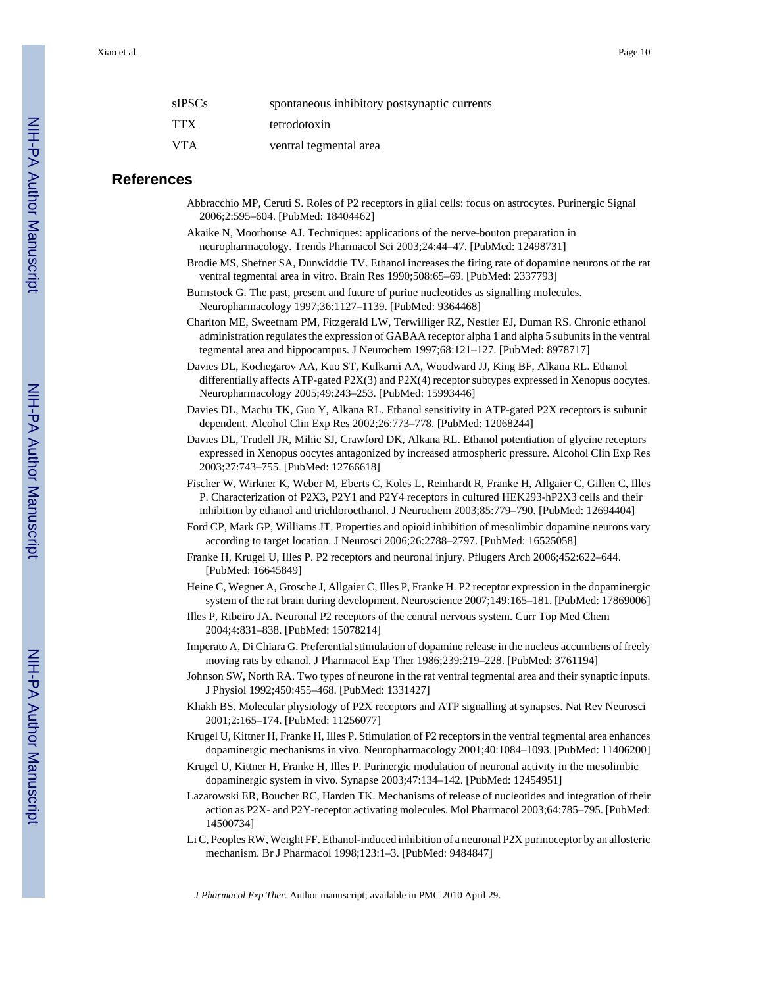| sIPSCs | spontaneous inhibitory postsynaptic currents |
|--------|----------------------------------------------|
| TTX    | tetrodotoxin                                 |
| VTA    | ventral tegmental area                       |

## **References**

- Abbracchio MP, Ceruti S. Roles of P2 receptors in glial cells: focus on astrocytes. Purinergic Signal 2006;2:595–604. [PubMed: 18404462]
- Akaike N, Moorhouse AJ. Techniques: applications of the nerve-bouton preparation in neuropharmacology. Trends Pharmacol Sci 2003;24:44–47. [PubMed: 12498731]
- Brodie MS, Shefner SA, Dunwiddie TV. Ethanol increases the firing rate of dopamine neurons of the rat ventral tegmental area in vitro. Brain Res 1990;508:65–69. [PubMed: 2337793]
- Burnstock G. The past, present and future of purine nucleotides as signalling molecules. Neuropharmacology 1997;36:1127–1139. [PubMed: 9364468]
- Charlton ME, Sweetnam PM, Fitzgerald LW, Terwilliger RZ, Nestler EJ, Duman RS. Chronic ethanol administration regulates the expression of GABAA receptor alpha 1 and alpha 5 subunits in the ventral tegmental area and hippocampus. J Neurochem 1997;68:121–127. [PubMed: 8978717]
- Davies DL, Kochegarov AA, Kuo ST, Kulkarni AA, Woodward JJ, King BF, Alkana RL. Ethanol differentially affects ATP-gated P2X(3) and P2X(4) receptor subtypes expressed in Xenopus oocytes. Neuropharmacology 2005;49:243–253. [PubMed: 15993446]
- Davies DL, Machu TK, Guo Y, Alkana RL. Ethanol sensitivity in ATP-gated P2X receptors is subunit dependent. Alcohol Clin Exp Res 2002;26:773–778. [PubMed: 12068244]
- Davies DL, Trudell JR, Mihic SJ, Crawford DK, Alkana RL. Ethanol potentiation of glycine receptors expressed in Xenopus oocytes antagonized by increased atmospheric pressure. Alcohol Clin Exp Res 2003;27:743–755. [PubMed: 12766618]
- Fischer W, Wirkner K, Weber M, Eberts C, Koles L, Reinhardt R, Franke H, Allgaier C, Gillen C, Illes P. Characterization of P2X3, P2Y1 and P2Y4 receptors in cultured HEK293-hP2X3 cells and their inhibition by ethanol and trichloroethanol. J Neurochem 2003;85:779–790. [PubMed: 12694404]
- Ford CP, Mark GP, Williams JT. Properties and opioid inhibition of mesolimbic dopamine neurons vary according to target location. J Neurosci 2006;26:2788–2797. [PubMed: 16525058]
- Franke H, Krugel U, Illes P. P2 receptors and neuronal injury. Pflugers Arch 2006;452:622–644. [PubMed: 16645849]
- Heine C, Wegner A, Grosche J, Allgaier C, Illes P, Franke H. P2 receptor expression in the dopaminergic system of the rat brain during development. Neuroscience 2007;149:165–181. [PubMed: 17869006]
- Illes P, Ribeiro JA. Neuronal P2 receptors of the central nervous system. Curr Top Med Chem 2004;4:831–838. [PubMed: 15078214]
- Imperato A, Di Chiara G. Preferential stimulation of dopamine release in the nucleus accumbens of freely moving rats by ethanol. J Pharmacol Exp Ther 1986;239:219–228. [PubMed: 3761194]
- Johnson SW, North RA. Two types of neurone in the rat ventral tegmental area and their synaptic inputs. J Physiol 1992;450:455–468. [PubMed: 1331427]
- Khakh BS. Molecular physiology of P2X receptors and ATP signalling at synapses. Nat Rev Neurosci 2001;2:165–174. [PubMed: 11256077]
- Krugel U, Kittner H, Franke H, Illes P. Stimulation of P2 receptors in the ventral tegmental area enhances dopaminergic mechanisms in vivo. Neuropharmacology 2001;40:1084–1093. [PubMed: 11406200]
- Krugel U, Kittner H, Franke H, Illes P. Purinergic modulation of neuronal activity in the mesolimbic dopaminergic system in vivo. Synapse 2003;47:134–142. [PubMed: 12454951]
- Lazarowski ER, Boucher RC, Harden TK. Mechanisms of release of nucleotides and integration of their action as P2X- and P2Y-receptor activating molecules. Mol Pharmacol 2003;64:785–795. [PubMed: 14500734]
- Li C, Peoples RW, Weight FF. Ethanol-induced inhibition of a neuronal P2X purinoceptor by an allosteric mechanism. Br J Pharmacol 1998;123:1–3. [PubMed: 9484847]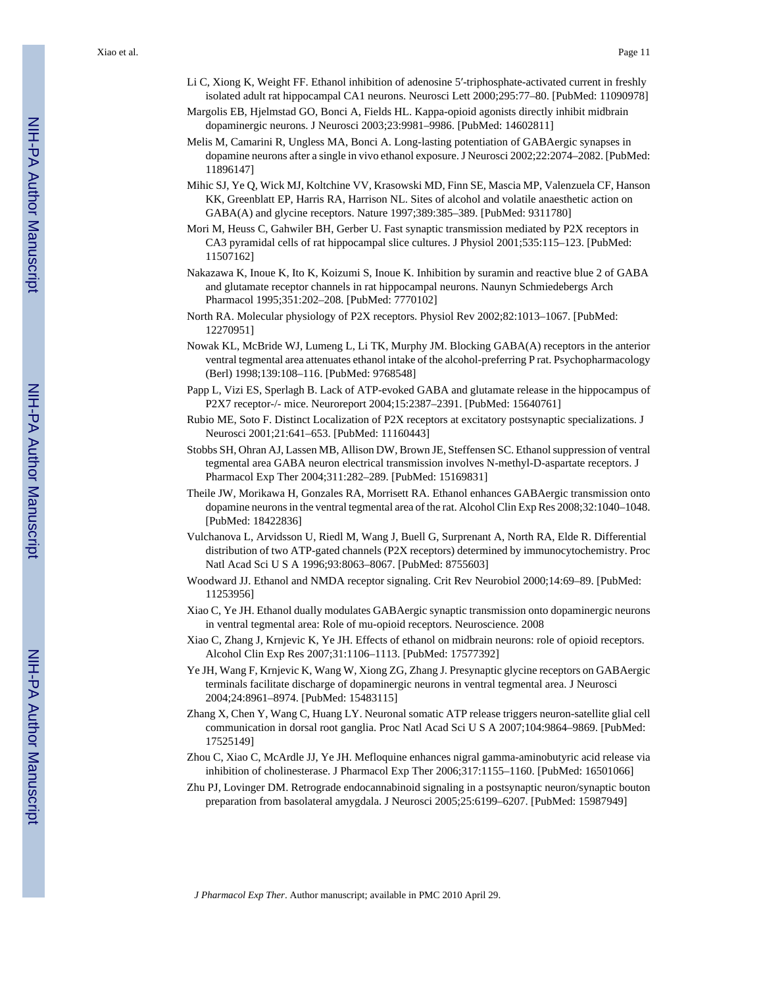- Li C, Xiong K, Weight FF. Ethanol inhibition of adenosine 5′-triphosphate-activated current in freshly isolated adult rat hippocampal CA1 neurons. Neurosci Lett 2000;295:77–80. [PubMed: 11090978]
- Margolis EB, Hjelmstad GO, Bonci A, Fields HL. Kappa-opioid agonists directly inhibit midbrain dopaminergic neurons. J Neurosci 2003;23:9981–9986. [PubMed: 14602811]
- Melis M, Camarini R, Ungless MA, Bonci A. Long-lasting potentiation of GABAergic synapses in dopamine neurons after a single in vivo ethanol exposure. J Neurosci 2002;22:2074–2082. [PubMed: 11896147]
- Mihic SJ, Ye Q, Wick MJ, Koltchine VV, Krasowski MD, Finn SE, Mascia MP, Valenzuela CF, Hanson KK, Greenblatt EP, Harris RA, Harrison NL. Sites of alcohol and volatile anaesthetic action on GABA(A) and glycine receptors. Nature 1997;389:385–389. [PubMed: 9311780]
- Mori M, Heuss C, Gahwiler BH, Gerber U. Fast synaptic transmission mediated by P2X receptors in CA3 pyramidal cells of rat hippocampal slice cultures. J Physiol 2001;535:115–123. [PubMed: 11507162]
- Nakazawa K, Inoue K, Ito K, Koizumi S, Inoue K. Inhibition by suramin and reactive blue 2 of GABA and glutamate receptor channels in rat hippocampal neurons. Naunyn Schmiedebergs Arch Pharmacol 1995;351:202–208. [PubMed: 7770102]
- North RA. Molecular physiology of P2X receptors. Physiol Rev 2002;82:1013–1067. [PubMed: 12270951]
- Nowak KL, McBride WJ, Lumeng L, Li TK, Murphy JM. Blocking GABA(A) receptors in the anterior ventral tegmental area attenuates ethanol intake of the alcohol-preferring P rat. Psychopharmacology (Berl) 1998;139:108–116. [PubMed: 9768548]
- Papp L, Vizi ES, Sperlagh B. Lack of ATP-evoked GABA and glutamate release in the hippocampus of P2X7 receptor-/- mice. Neuroreport 2004;15:2387–2391. [PubMed: 15640761]
- Rubio ME, Soto F. Distinct Localization of P2X receptors at excitatory postsynaptic specializations. J Neurosci 2001;21:641–653. [PubMed: 11160443]
- Stobbs SH, Ohran AJ, Lassen MB, Allison DW, Brown JE, Steffensen SC. Ethanol suppression of ventral tegmental area GABA neuron electrical transmission involves N-methyl-D-aspartate receptors. J Pharmacol Exp Ther 2004;311:282–289. [PubMed: 15169831]
- Theile JW, Morikawa H, Gonzales RA, Morrisett RA. Ethanol enhances GABAergic transmission onto dopamine neurons in the ventral tegmental area of the rat. Alcohol Clin Exp Res 2008;32:1040–1048. [PubMed: 18422836]
- Vulchanova L, Arvidsson U, Riedl M, Wang J, Buell G, Surprenant A, North RA, Elde R. Differential distribution of two ATP-gated channels (P2X receptors) determined by immunocytochemistry. Proc Natl Acad Sci U S A 1996;93:8063–8067. [PubMed: 8755603]
- Woodward JJ. Ethanol and NMDA receptor signaling. Crit Rev Neurobiol 2000;14:69–89. [PubMed: 11253956]
- Xiao C, Ye JH. Ethanol dually modulates GABAergic synaptic transmission onto dopaminergic neurons in ventral tegmental area: Role of mu-opioid receptors. Neuroscience. 2008
- Xiao C, Zhang J, Krnjevic K, Ye JH. Effects of ethanol on midbrain neurons: role of opioid receptors. Alcohol Clin Exp Res 2007;31:1106–1113. [PubMed: 17577392]
- Ye JH, Wang F, Krnjevic K, Wang W, Xiong ZG, Zhang J. Presynaptic glycine receptors on GABAergic terminals facilitate discharge of dopaminergic neurons in ventral tegmental area. J Neurosci 2004;24:8961–8974. [PubMed: 15483115]
- Zhang X, Chen Y, Wang C, Huang LY. Neuronal somatic ATP release triggers neuron-satellite glial cell communication in dorsal root ganglia. Proc Natl Acad Sci U S A 2007;104:9864–9869. [PubMed: 17525149]
- Zhou C, Xiao C, McArdle JJ, Ye JH. Mefloquine enhances nigral gamma-aminobutyric acid release via inhibition of cholinesterase. J Pharmacol Exp Ther 2006;317:1155–1160. [PubMed: 16501066]
- Zhu PJ, Lovinger DM. Retrograde endocannabinoid signaling in a postsynaptic neuron/synaptic bouton preparation from basolateral amygdala. J Neurosci 2005;25:6199–6207. [PubMed: 15987949]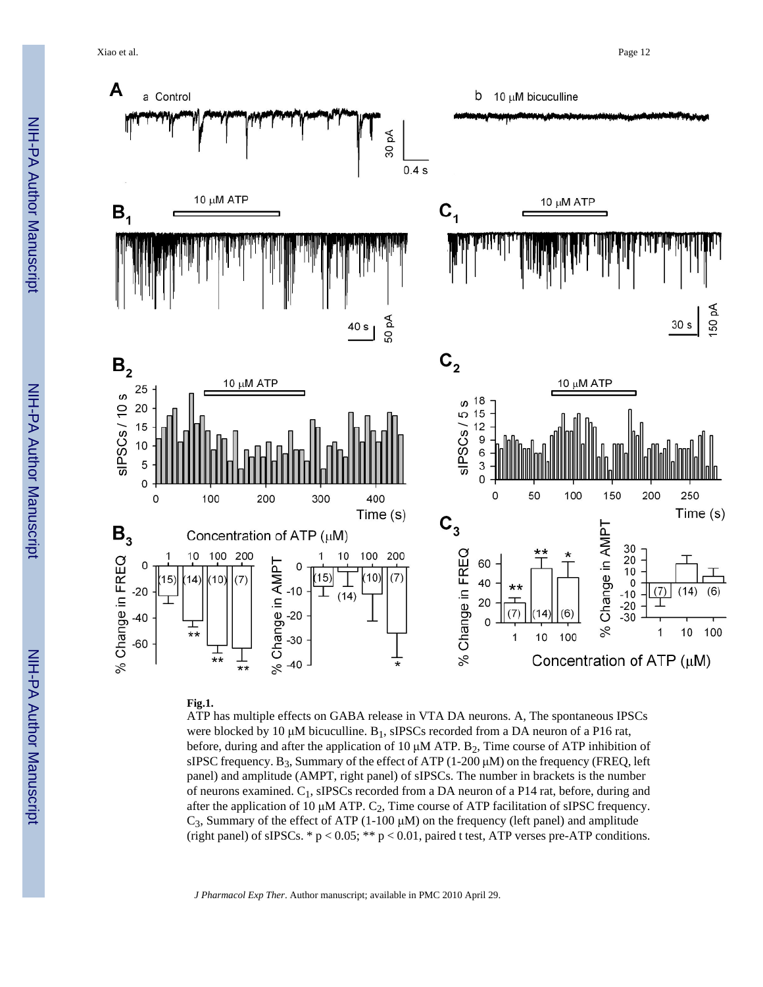Xiao et al. Page 12



#### **Fig.1.**

ATP has multiple effects on GABA release in VTA DA neurons. A, The spontaneous IPSCs were blocked by 10 μM bicuculline.  $B_1$ , sIPSCs recorded from a DA neuron of a P16 rat, before, during and after the application of 10  $\mu$ M ATP. B<sub>2</sub>, Time course of ATP inhibition of sIPSC frequency.  $B_3$ , Summary of the effect of ATP (1-200  $\mu$ M) on the frequency (FREQ, left panel) and amplitude (AMPT, right panel) of sIPSCs. The number in brackets is the number of neurons examined. C1, sIPSCs recorded from a DA neuron of a P14 rat, before, during and after the application of 10  $\mu$ M ATP. C<sub>2</sub>, Time course of ATP facilitation of sIPSC frequency. C<sub>3</sub>, Summary of the effect of ATP (1-100 μM) on the frequency (left panel) and amplitude (right panel) of sIPSCs.  $* p < 0.05; ** p < 0.01$ , paired t test, ATP verses pre-ATP conditions.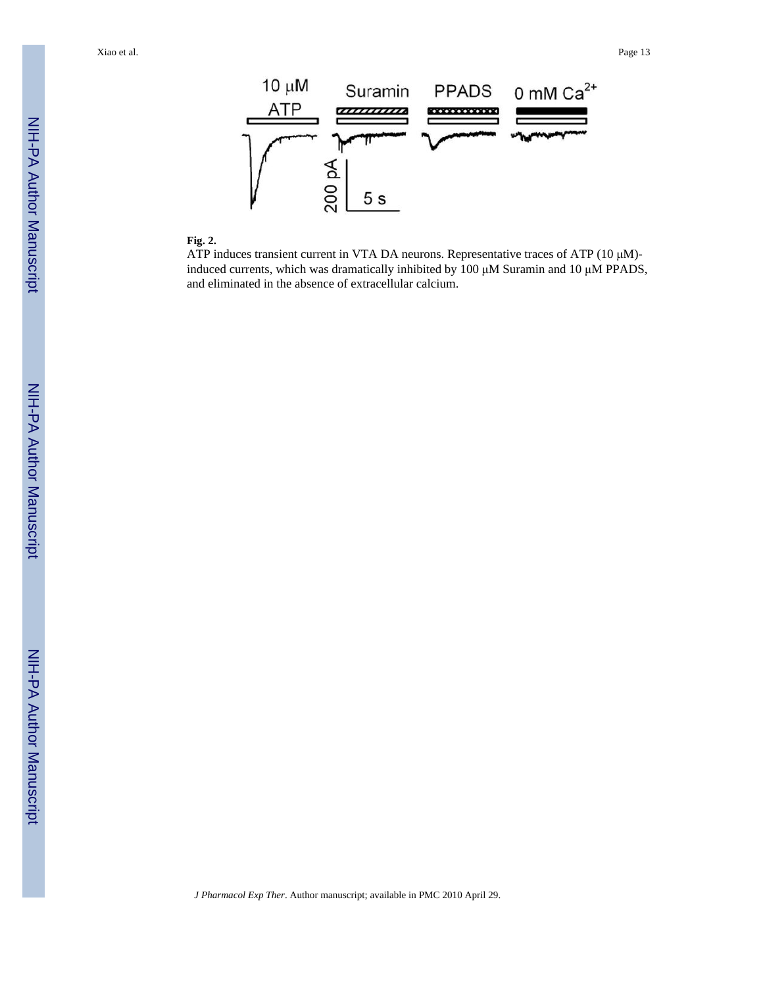Xiao et al. Page 13



#### **Fig. 2.**

ATP induces transient current in VTA DA neurons. Representative traces of ATP (10 μM) induced currents, which was dramatically inhibited by 100 μM Suramin and 10 μM PPADS, and eliminated in the absence of extracellular calcium.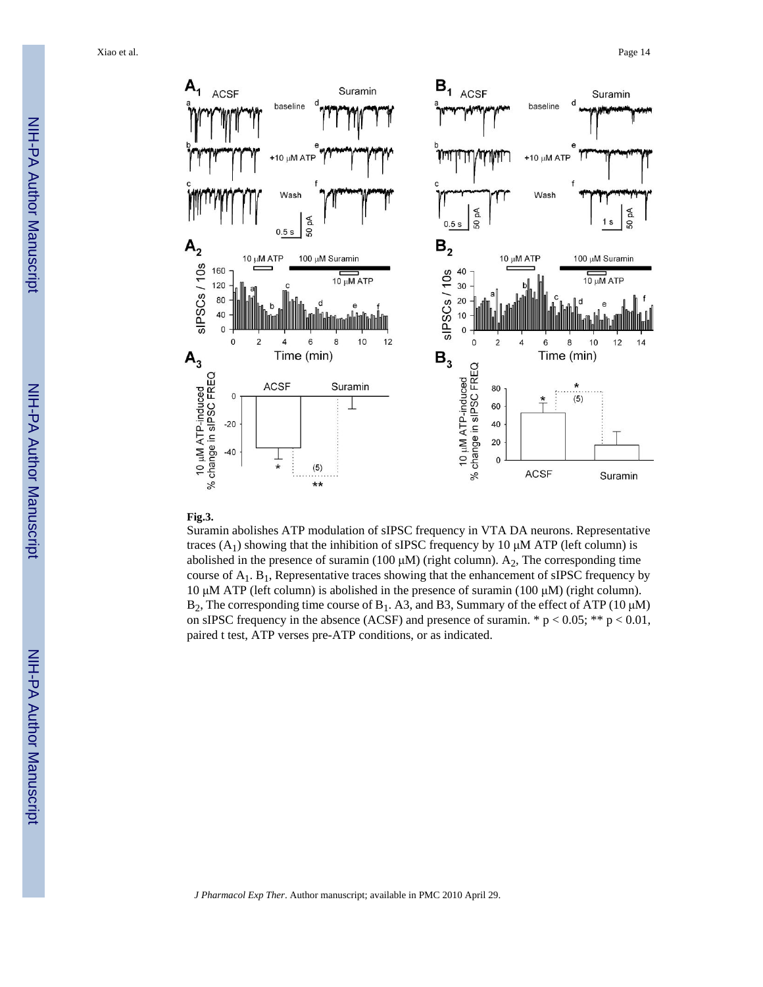

#### **Fig.3.**

Suramin abolishes ATP modulation of sIPSC frequency in VTA DA neurons. Representative traces  $(A_1)$  showing that the inhibition of sIPSC frequency by 10  $\mu$ M ATP (left column) is abolished in the presence of suramin (100  $\mu$ M) (right column). A<sub>2</sub>, The corresponding time course of  $A_1$ . B<sub>1</sub>, Representative traces showing that the enhancement of sIPSC frequency by 10 μM ATP (left column) is abolished in the presence of suramin (100 μM) (right column). B<sub>2</sub>, The corresponding time course of B<sub>1</sub>. A3, and B3, Summary of the effect of ATP (10 μM) on sIPSC frequency in the absence (ACSF) and presence of suramin. \*  $p < 0.05$ ; \*\*  $p < 0.01$ , paired t test, ATP verses pre-ATP conditions, or as indicated.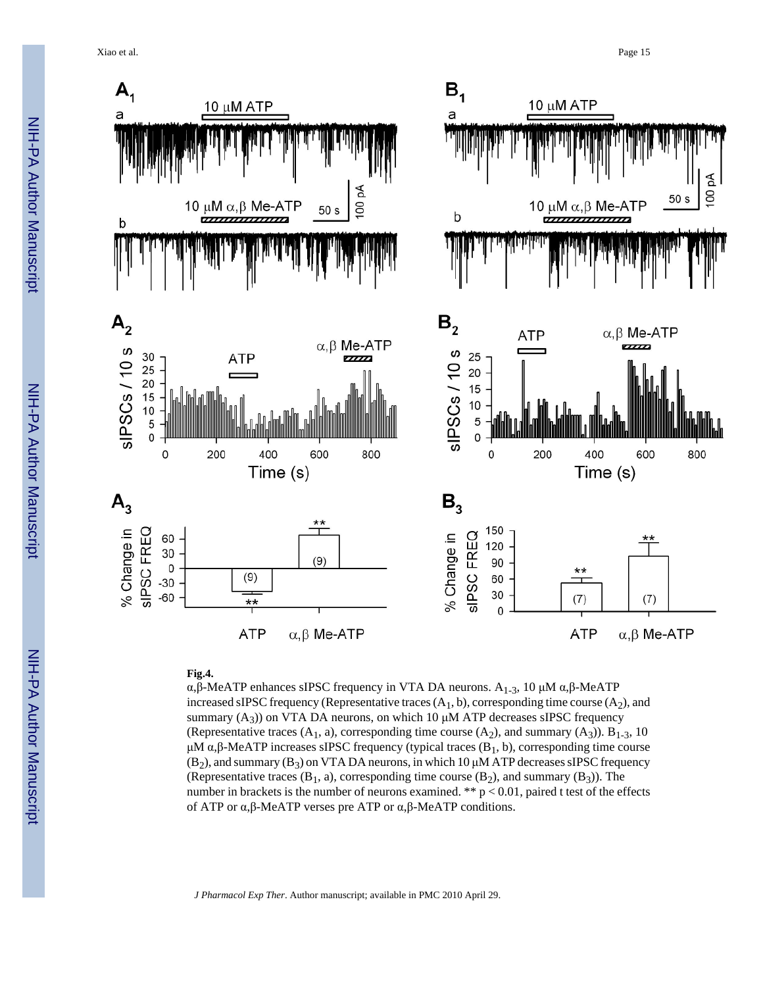Xiao et al. Page 15



#### **Fig.4.**

α, β-MeATP enhances sIPSC frequency in VTA DA neurons.  $A_{1-3}$ , 10 μM α, β-MeATP increased sIPSC frequency (Representative traces  $(A_1, b)$ , corresponding time course  $(A_2)$ , and summary  $(A_3)$ ) on VTA DA neurons, on which 10  $\mu$ M ATP decreases sIPSC frequency (Representative traces  $(A_1, a)$ , corresponding time course  $(A_2)$ , and summary  $(A_3)$ ). B<sub>1-3</sub>, 10 μM  $\alpha$ ,β-MeATP increases sIPSC frequency (typical traces (B<sub>1</sub>, b), corresponding time course  $(B_2)$ , and summary  $(B_3)$  on VTA DA neurons, in which 10  $\mu$ M ATP decreases sIPSC frequency (Representative traces  $(B_1, a)$ , corresponding time course  $(B_2)$ , and summary  $(B_3)$ ). The number in brackets is the number of neurons examined. \*\*  $p < 0.01$ , paired t test of the effects of ATP or α,β-MeATP verses pre ATP or α,β-MeATP conditions.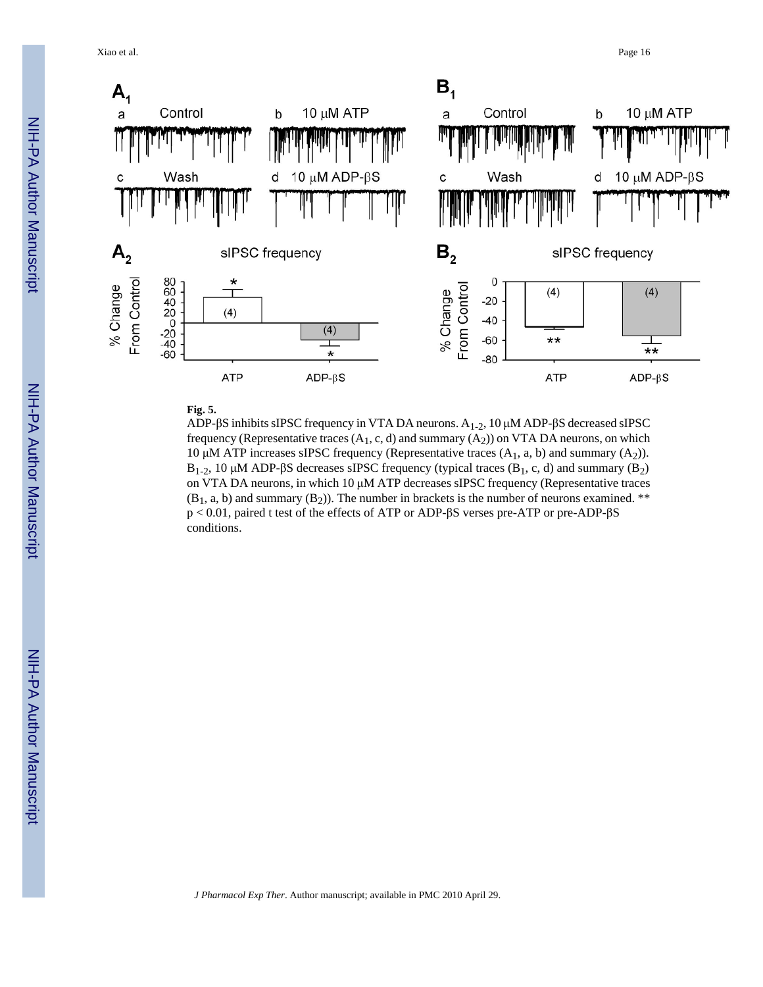Xiao et al. Page 16



# **Fig. 5.**

ADP- $\beta$ S inhibits sIPSC frequency in VTA DA neurons. A<sub>1-2</sub>, 10 μM ADP- $\beta$ S decreased sIPSC frequency (Representative traces  $(A_1, c, d)$  and summary  $(A_2)$ ) on VTA DA neurons, on which 10 μM ATP increases sIPSC frequency (Representative traces  $(A_1, a, b)$  and summary  $(A_2)$ ). B<sub>1-2</sub>, 10 μM ADP-βS decreases sIPSC frequency (typical traces (B<sub>1</sub>, c, d) and summary (B<sub>2</sub>) on VTA DA neurons, in which 10 μM ATP decreases sIPSC frequency (Representative traces  $(B_1, a, b)$  and summary  $(B_2)$ ). The number in brackets is the number of neurons examined. \*\* p < 0.01, paired t test of the effects of ATP or ADP-βS verses pre-ATP or pre-ADP-βS conditions.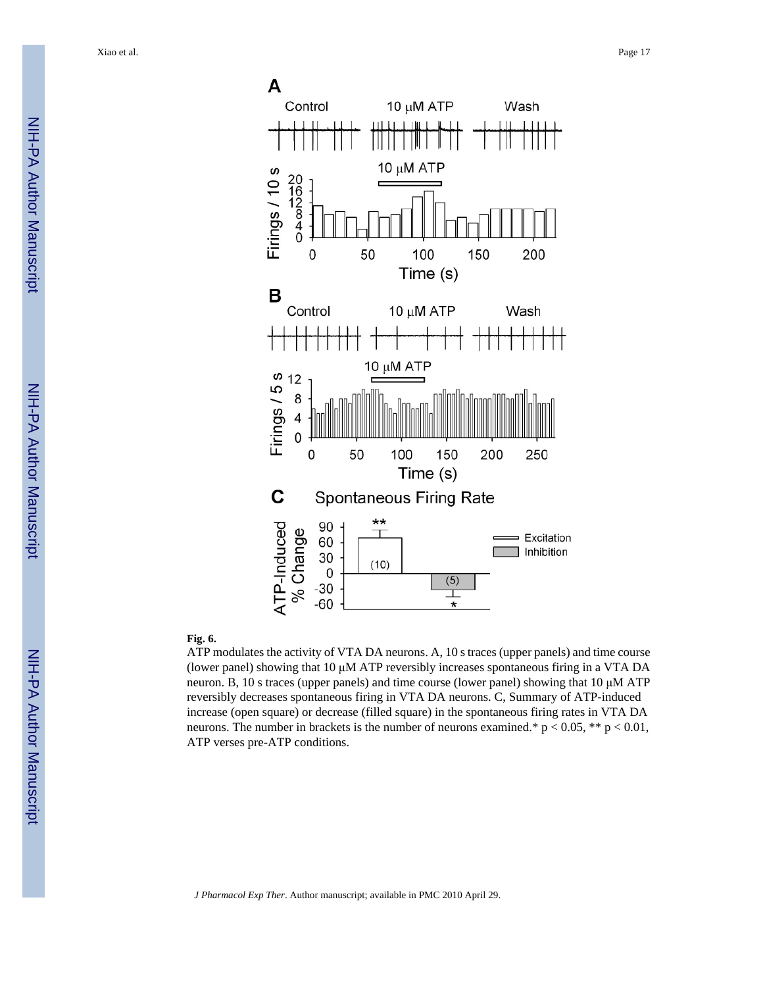Xiao et al. Page 17





#### **Fig. 6.**

ATP modulates the activity of VTA DA neurons. A, 10 s traces (upper panels) and time course (lower panel) showing that 10 μM ATP reversibly increases spontaneous firing in a VTA DA neuron. B, 10 s traces (upper panels) and time course (lower panel) showing that 10 μM ATP reversibly decreases spontaneous firing in VTA DA neurons. C, Summary of ATP-induced increase (open square) or decrease (filled square) in the spontaneous firing rates in VTA DA neurons. The number in brackets is the number of neurons examined.\*  $p < 0.05$ , \*\*  $p < 0.01$ , ATP verses pre-ATP conditions.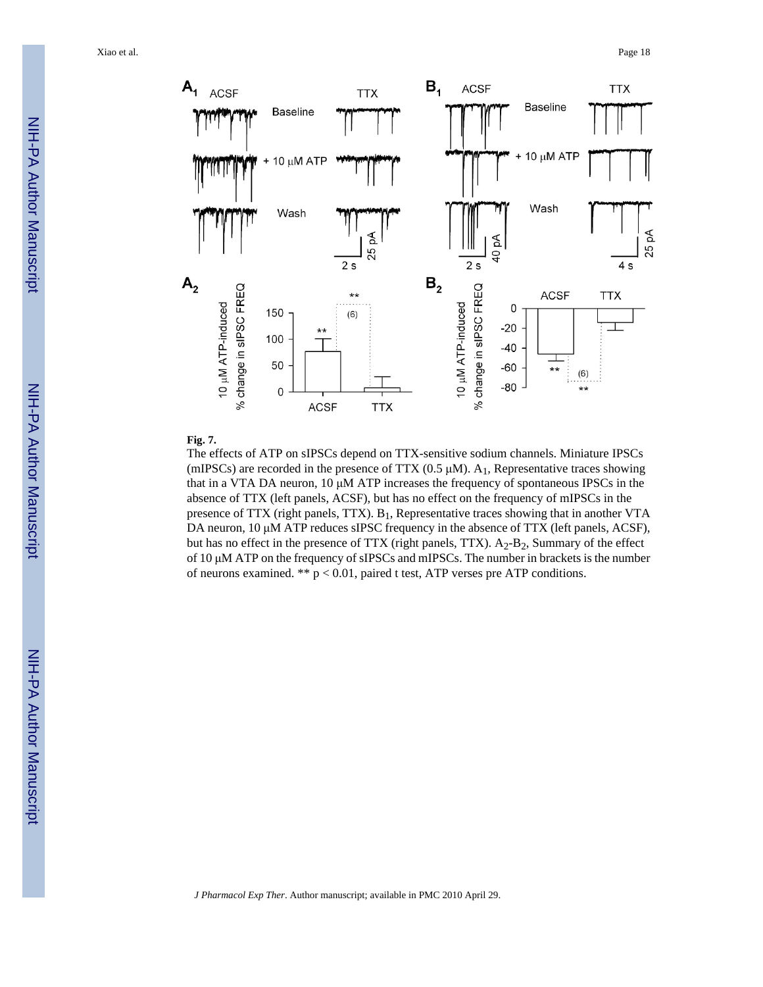Xiao et al. Page 18



#### **Fig. 7.**

The effects of ATP on sIPSCs depend on TTX-sensitive sodium channels. Miniature IPSCs (mIPSCs) are recorded in the presence of TTX  $(0.5 \mu M)$ . A<sub>1</sub>, Representative traces showing that in a VTA DA neuron, 10 μM ATP increases the frequency of spontaneous IPSCs in the absence of TTX (left panels, ACSF), but has no effect on the frequency of mIPSCs in the presence of TTX (right panels, TTX).  $B_1$ , Representative traces showing that in another VTA DA neuron, 10 μM ATP reduces sIPSC frequency in the absence of TTX (left panels, ACSF), but has no effect in the presence of TTX (right panels, TTX).  $A_2-B_2$ , Summary of the effect of 10 μM ATP on the frequency of sIPSCs and mIPSCs. The number in brackets is the number of neurons examined. \*\* p < 0.01, paired t test, ATP verses pre ATP conditions.